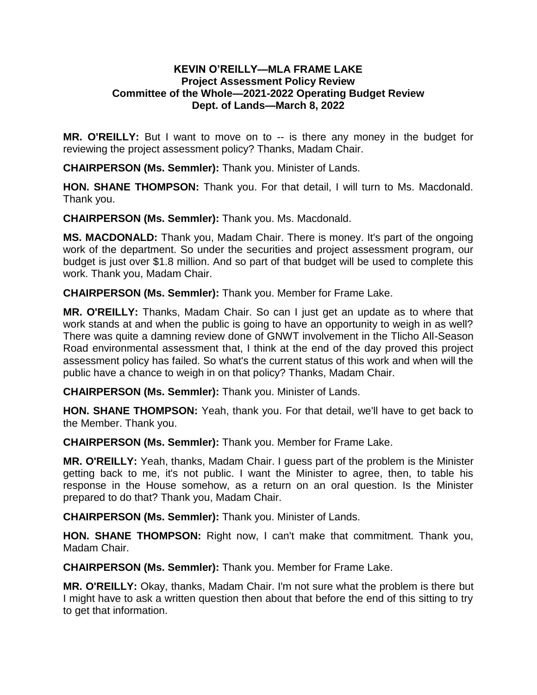## **KEVIN O'REILLY—MLA FRAME LAKE Project Assessment Policy Review Committee of the Whole—2021-2022 Operating Budget Review Dept. of Lands—March 8, 2022**

**MR. O'REILLY:** But I want to move on to -- is there any money in the budget for reviewing the project assessment policy? Thanks, Madam Chair.

**CHAIRPERSON (Ms. Semmler):** Thank you. Minister of Lands.

**HON. SHANE THOMPSON:** Thank you. For that detail, I will turn to Ms. Macdonald. Thank you.

**CHAIRPERSON (Ms. Semmler):** Thank you. Ms. Macdonald.

**MS. MACDONALD:** Thank you, Madam Chair. There is money. It's part of the ongoing work of the department. So under the securities and project assessment program, our budget is just over \$1.8 million. And so part of that budget will be used to complete this work. Thank you, Madam Chair.

**CHAIRPERSON (Ms. Semmler):** Thank you. Member for Frame Lake.

**MR. O'REILLY:** Thanks, Madam Chair. So can I just get an update as to where that work stands at and when the public is going to have an opportunity to weigh in as well? There was quite a damning review done of GNWT involvement in the Tlicho All-Season Road environmental assessment that, I think at the end of the day proved this project assessment policy has failed. So what's the current status of this work and when will the public have a chance to weigh in on that policy? Thanks, Madam Chair.

**CHAIRPERSON (Ms. Semmler):** Thank you. Minister of Lands.

**HON. SHANE THOMPSON:** Yeah, thank you. For that detail, we'll have to get back to the Member. Thank you.

**CHAIRPERSON (Ms. Semmler):** Thank you. Member for Frame Lake.

**MR. O'REILLY:** Yeah, thanks, Madam Chair. I guess part of the problem is the Minister getting back to me, it's not public. I want the Minister to agree, then, to table his response in the House somehow, as a return on an oral question. Is the Minister prepared to do that? Thank you, Madam Chair.

**CHAIRPERSON (Ms. Semmler):** Thank you. Minister of Lands.

**HON. SHANE THOMPSON:** Right now, I can't make that commitment. Thank you, Madam Chair.

**CHAIRPERSON (Ms. Semmler):** Thank you. Member for Frame Lake.

**MR. O'REILLY:** Okay, thanks, Madam Chair. I'm not sure what the problem is there but I might have to ask a written question then about that before the end of this sitting to try to get that information.